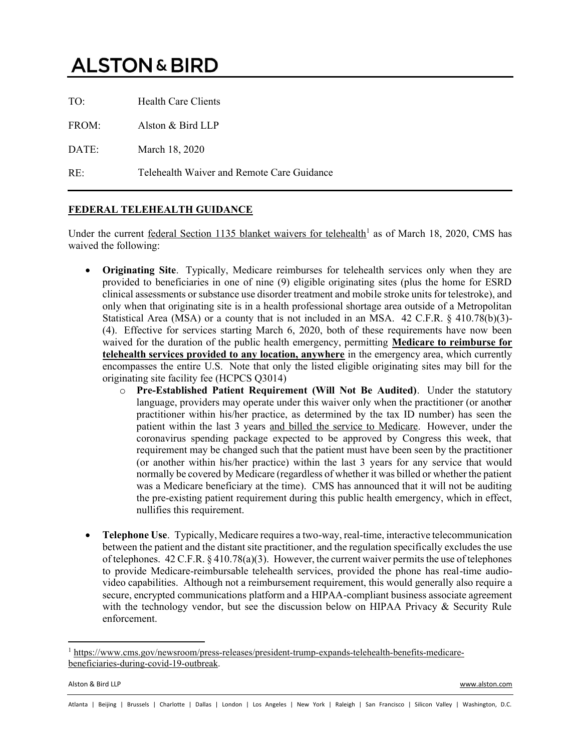## **ALSTON & BIRD**

| TO:   | <b>Health Care Clients</b>                 |
|-------|--------------------------------------------|
| FROM: | Alston $&$ Bird LLP                        |
| DATE: | March 18, 2020                             |
| RE:   | Telehealth Waiver and Remote Care Guidance |

## **FEDERAL TELEHEALTH GUIDANCE**

Under the current federal Section 1135 blanket waivers for telehealth<sup>1</sup> as of March 18, 2020, CMS has waived the following:

- **Originating Site**. Typically, Medicare reimburses for telehealth services only when they are provided to beneficiaries in one of nine (9) eligible originating sites (plus the home for ESRD clinical assessments or substance use disorder treatment and mobile stroke units for telestroke), and only when that originating site is in a health professional shortage area outside of a Metropolitan Statistical Area (MSA) or a county that is not included in an MSA. 42 C.F.R. § 410.78(b)(3)- (4). Effective for services starting March 6, 2020, both of these requirements have now been waived for the duration of the public health emergency, permitting **Medicare to reimburse for telehealth services provided to any location, anywhere** in the emergency area, which currently encompasses the entire U.S. Note that only the listed eligible originating sites may bill for the originating site facility fee (HCPCS Q3014)
	- o **Pre-Established Patient Requirement (Will Not Be Audited)**. Under the statutory language, providers may operate under this waiver only when the practitioner (or another practitioner within his/her practice, as determined by the tax ID number) has seen the patient within the last 3 years and billed the service to Medicare. However, under the coronavirus spending package expected to be approved by Congress this week, that requirement may be changed such that the patient must have been seen by the practitioner (or another within his/her practice) within the last 3 years for any service that would normally be covered by Medicare (regardless of whether it was billed or whether the patient was a Medicare beneficiary at the time). CMS has announced that it will not be auditing the pre-existing patient requirement during this public health emergency, which in effect, nullifies this requirement.
- **Telephone Use**. Typically, Medicare requires a two-way, real-time, interactive telecommunication between the patient and the distant site practitioner, and the regulation specifically excludes the use of telephones.  $42 \text{ C.F.R.} \$  $410.78(a)(3)$ . However, the current waiver permits the use of telephones to provide Medicare-reimbursable telehealth services, provided the phone has real-time audiovideo capabilities. Although not a reimbursement requirement, this would generally also require a secure, encrypted communications platform and a HIPAA-compliant business associate agreement with the technology vendor, but see the discussion below on HIPAA Privacy  $\&$  Security Rule enforcement.

Alston & Bird LLP www.alston.com

<sup>1</sup> https://www.cms.gov/newsroom/press-releases/president-trump-expands-telehealth-benefits-medicarebeneficiaries-during-covid-19-outbreak.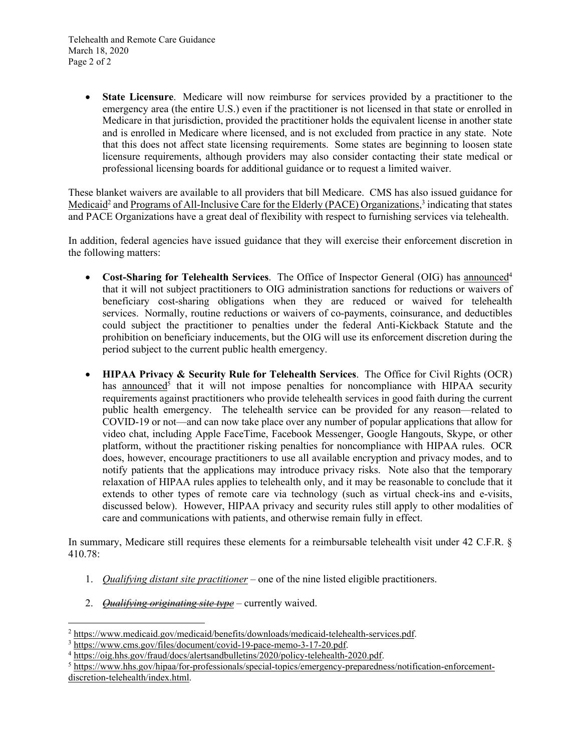**State Licensure**. Medicare will now reimburse for services provided by a practitioner to the emergency area (the entire U.S.) even if the practitioner is not licensed in that state or enrolled in Medicare in that jurisdiction, provided the practitioner holds the equivalent license in another state and is enrolled in Medicare where licensed, and is not excluded from practice in any state. Note that this does not affect state licensing requirements. Some states are beginning to loosen state licensure requirements, although providers may also consider contacting their state medical or professional licensing boards for additional guidance or to request a limited waiver.

These blanket waivers are available to all providers that bill Medicare. CMS has also issued guidance for Medicaid<sup>2</sup> and Programs of All-Inclusive Care for the Elderly (PACE) Organizations,<sup>3</sup> indicating that states and PACE Organizations have a great deal of flexibility with respect to furnishing services via telehealth.

In addition, federal agencies have issued guidance that they will exercise their enforcement discretion in the following matters:

- **Cost-Sharing for Telehealth Services**. The Office of Inspector General (OIG) has announced<sup>4</sup> that it will not subject practitioners to OIG administration sanctions for reductions or waivers of beneficiary cost-sharing obligations when they are reduced or waived for telehealth services. Normally, routine reductions or waivers of co-payments, coinsurance, and deductibles could subject the practitioner to penalties under the federal Anti-Kickback Statute and the prohibition on beneficiary inducements, but the OIG will use its enforcement discretion during the period subject to the current public health emergency.
- **HIPAA Privacy & Security Rule for Telehealth Services**. The Office for Civil Rights (OCR) has announced<sup>5</sup> that it will not impose penalties for noncompliance with HIPAA security requirements against practitioners who provide telehealth services in good faith during the current public health emergency. The telehealth service can be provided for any reason—related to COVID-19 or not—and can now take place over any number of popular applications that allow for video chat, including Apple FaceTime, Facebook Messenger, Google Hangouts, Skype, or other platform, without the practitioner risking penalties for noncompliance with HIPAA rules. OCR does, however, encourage practitioners to use all available encryption and privacy modes, and to notify patients that the applications may introduce privacy risks. Note also that the temporary relaxation of HIPAA rules applies to telehealth only, and it may be reasonable to conclude that it extends to other types of remote care via technology (such as virtual check-ins and e-visits, discussed below). However, HIPAA privacy and security rules still apply to other modalities of care and communications with patients, and otherwise remain fully in effect.

In summary, Medicare still requires these elements for a reimbursable telehealth visit under 42 C.F.R. § 410.78:

- 1. *Qualifying distant site practitioner* one of the nine listed eligible practitioners.
- 2. *Qualifying originating site type* currently waived.

<sup>2</sup> https://www.medicaid.gov/medicaid/benefits/downloads/medicaid-telehealth-services.pdf.

<sup>3</sup> https://www.cms.gov/files/document/covid-19-pace-memo-3-17-20.pdf.

<sup>4</sup> https://oig.hhs.gov/fraud/docs/alertsandbulletins/2020/policy-telehealth-2020.pdf.

<sup>5</sup> https://www.hhs.gov/hipaa/for-professionals/special-topics/emergency-preparedness/notification-enforcementdiscretion-telehealth/index.html.